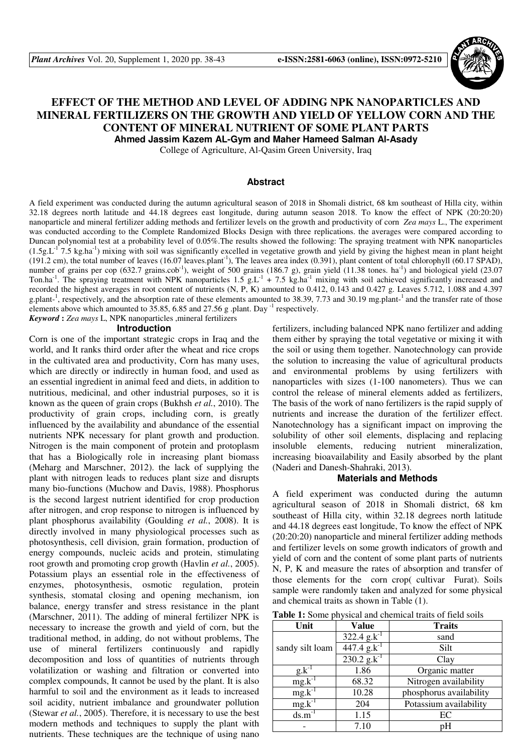

# **EFFECT OF THE METHOD AND LEVEL OF ADDING NPK NANOPARTICLES AND MINERAL FERTILIZERS ON THE GROWTH AND YIELD OF YELLOW CORN AND THE CONTENT OF MINERAL NUTRIENT OF SOME PLANT PARTS**

**Ahmed Jassim Kazem AL-Gym and Maher Hameed Salman Al-Asady** 

College of Agriculture, Al-Qasim Green University, Iraq

#### **Abstract**

A field experiment was conducted during the autumn agricultural season of 2018 in Shomali district, 68 km southeast of Hilla city, within 32.18 degrees north latitude and 44.18 degrees east longitude, during autumn season 2018. To know the effect of NPK (20:20:20) nanoparticle and mineral fertilizer adding methods and fertilizer levels on the growth and productivity of corn *Zea mays* L., The experiment was conducted according to the Complete Randomized Blocks Design with three replications. the averages were compared according to Duncan polynomial test at a probability level of 0.05%.The results showed the following: The spraying treatment with NPK nanoparticles  $(1.5g<sub>L</sub>^{17}7.5 kg<sub>h</sub>a<sup>-1</sup>)$  mixing with soil was significantly excelled in vegetative growth and yield by giving the highest mean in plant height (191.2 cm), the total number of leaves (16.07 leaves.plant<sup>-1</sup>), The leaves area index (0.391), plant content of total chlorophyll (60.17 SPAD), number of grains per cop (632.7 grains.cob<sup>-1</sup>), weight of 500 grains (186.7 g), grain yield (11.38 tones. ha<sup>-1</sup>) and biological yield (23.07 Ton.ha<sup>-1</sup>. The spraying treatment with NPK nanoparticles  $1.5 \text{ g.L}^{-1} + 7.5 \text{ kg.ha}^{-1}$  mixing with soil achieved significantly increased and recorded the highest averages in root content of nutrients (N, P, K) amounted to 0.412, 0.143 and 0.427 g. Leaves 5.712, 1.088 and 4.397 g.plant-<sup>1</sup>, respectively, and the absorption rate of these elements amounted to 38.39, 7.73 and 30.19 mg.plant-<sup>1</sup> and the transfer rate of those elements above which amounted to  $35.85$ , 6.85 and  $27.56$  g .plant. Day  $^{-1}$  respectively.

*Keyword* **:** *Zea mays* L, NPK nanoparticles ,mineral fertilizers

## **Introduction**

Corn is one of the important strategic crops in Iraq and the world, and It ranks third order after the wheat and rice crops in the cultivated area and productivity, Corn has many uses, which are directly or indirectly in human food, and used as an essential ingredient in animal feed and diets, in addition to nutritious, medicinal, and other industrial purposes, so it is known as the queen of grain crops (Bukhsh *et al.*, 2010). The productivity of grain crops, including corn, is greatly influenced by the availability and abundance of the essential nutrients NPK necessary for plant growth and production. Nitrogen is the main component of protein and protoplasm that has a Biologically role in increasing plant biomass (Meharg and Marschner, 2012). the lack of supplying the plant with nitrogen leads to reduces plant size and disrupts many bio-functions (Muchow and Davis, 1988). Phosphorus is the second largest nutrient identified for crop production after nitrogen, and crop response to nitrogen is influenced by plant phosphorus availability (Goulding *et al.*, 2008). It is directly involved in many physiological processes such as photosynthesis, cell division, grain formation, production of energy compounds, nucleic acids and protein, stimulating root growth and promoting crop growth (Havlin *et al.*, 2005). Potassium plays an essential role in the effectiveness of enzymes, photosynthesis, osmotic regulation, protein synthesis, stomatal closing and opening mechanism, ion balance, energy transfer and stress resistance in the plant (Marschner, 2011). The adding of mineral fertilizer NPK is necessary to increase the growth and yield of corn, but the traditional method, in adding, do not without problems, The use of mineral fertilizers continuously and rapidly decomposition and loss of quantities of nutrients through volatilization or washing and filtration or converted into complex compounds, It cannot be used by the plant. It is also harmful to soil and the environment as it leads to increased soil acidity, nutrient imbalance and groundwater pollution (Stewar *et al.*, 2005). Therefore, it is necessary to use the best modern methods and techniques to supply the plant with nutrients. These techniques are the technique of using nano

fertilizers, including balanced NPK nano fertilizer and adding them either by spraying the total vegetative or mixing it with the soil or using them together. Nanotechnology can provide the solution to increasing the value of agricultural products and environmental problems by using fertilizers with nanoparticles with sizes (1-100 nanometers). Thus we can control the release of mineral elements added as fertilizers, The basis of the work of nano fertilizers is the rapid supply of nutrients and increase the duration of the fertilizer effect. Nanotechnology has a significant impact on improving the solubility of other soil elements, displacing and replacing insoluble elements, reducing nutrient mineralization, increasing bioavailability and Easily absorbed by the plant (Naderi and Danesh-Shahraki, 2013).

#### **Materials and Methods**

A field experiment was conducted during the autumn agricultural season of 2018 in Shomali district, 68 km southeast of Hilla city, within 32.18 degrees north latitude and 44.18 degrees east longitude, To know the effect of NPK (20:20:20) nanoparticle and mineral fertilizer adding methods and fertilizer levels on some growth indicators of growth and yield of corn and the content of some plant parts of nutrients N, P, K and measure the rates of absorption and transfer of those elements for the corn crop( cultivar Furat). Soils sample were randomly taken and analyzed for some physical and chemical traits as shown in Table (1).

| Table 1: Some physical and chemical traits of field soils |  |
|-----------------------------------------------------------|--|
|-----------------------------------------------------------|--|

| Unit                | <b>Value</b>              | <b>Traits</b>           |  |
|---------------------|---------------------------|-------------------------|--|
|                     | 322.4 $g.k^{-1}$          | sand                    |  |
| sandy silt loam     | $447.4$ g.k <sup>-1</sup> | Silt                    |  |
|                     | $230.2$ g.k <sup>-1</sup> | Clay                    |  |
| $g.k^{-1}$          | 1.86                      | Organic matter          |  |
| $mg.k^{-1}$         | 68.32                     | Nitrogen availability   |  |
| $mg.k^{-1}$         | 10.28                     | phosphorus availability |  |
| $mg.k^{-1}$         | 204                       | Potassium availability  |  |
| $ds.m^{-1}$<br>1.15 |                           | EC                      |  |
|                     | 7.10                      | pН                      |  |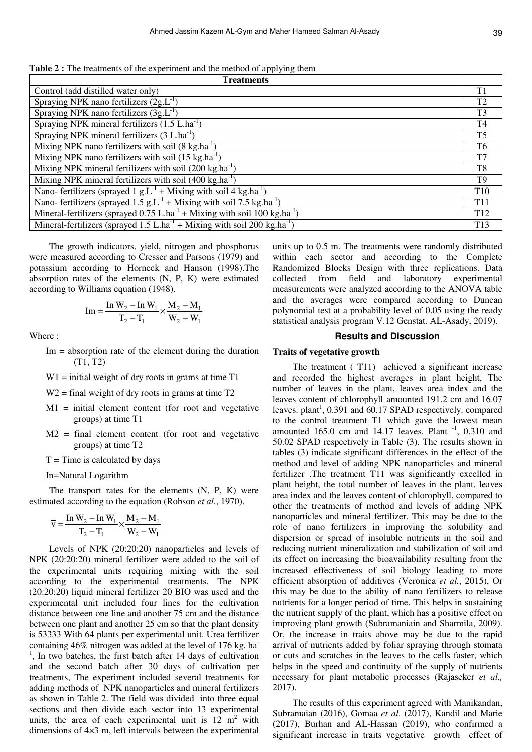**Table 2 :** The treatments of the experiment and the method of applying them

| <b>Treatments</b>                                                                                   |                 |  |
|-----------------------------------------------------------------------------------------------------|-----------------|--|
| Control (add distilled water only)                                                                  | T <sub>1</sub>  |  |
| Spraying NPK nano fertilizers $(2g.L^{-1})$                                                         | T <sub>2</sub>  |  |
| Spraying NPK nano fertilizers $(3g.L^{-1})$                                                         | T <sub>3</sub>  |  |
| Spraying NPK mineral fertilizers $(1.5 L.ha^{-1})$                                                  | T <sub>4</sub>  |  |
| Spraying NPK mineral fertilizers $(3 L.ha^{-1})$                                                    | T <sub>5</sub>  |  |
| Mixing NPK nano fertilizers with soil $(8 \text{ kg.ha}^{-1})$                                      | T <sub>6</sub>  |  |
| Mixing NPK nano fertilizers with soil $(15 \text{ kg.ha}^{-1})$                                     | T7              |  |
| Mixing NPK mineral fertilizers with soil $(200 \text{ kg.ha}^{-1})$                                 | T <sub>8</sub>  |  |
| Mixing NPK mineral fertilizers with soil $(400 \text{ kg.ha}^{-1})$                                 | T <sub>9</sub>  |  |
| Nano- fertilizers (sprayed 1 $g.L^{-1}$ + Mixing with soil 4 kg.ha <sup>-1</sup> )                  | T <sub>10</sub> |  |
| Nano-fertilizers (sprayed $1.5$ g.L <sup>-1</sup> + Mixing with soil 7.5 kg.ha <sup>-1</sup> )      | T <sub>11</sub> |  |
| Mineral-fertilizers (sprayed $0.75$ L.ha <sup>-1</sup> + Mixing with soil 100 kg.ha <sup>-1</sup> ) |                 |  |
| Mineral-fertilizers (sprayed $1.5$ L.ha <sup>-1</sup> + Mixing with soil 200 kg.ha <sup>-1</sup> )  | T <sub>13</sub> |  |

The growth indicators, yield, nitrogen and phosphorus were measured according to Cresser and Parsons (1979) and potassium according to Horneck and Hanson (1998).The absorption rates of the elements (N, P, K) were estimated according to Williams equation (1948).

$$
Im = \frac{In W_2 - In W_1}{T_2 - T_1} \times \frac{M_2 - M_1}{W_2 - W_1}
$$

Where :

- $Im =$  absorption rate of the element during the duration (T1, T2)
- $W1 =$  initial weight of dry roots in grams at time T1
- $W2$  = final weight of dry roots in grams at time T2
- $M1$  = initial element content (for root and vegetative groups) at time T1
- M2 = final element content (for root and vegetative groups) at time T2
- $T =$ Time is calculated by days

In=Natural Logarithm

The transport rates for the elements (N, P, K) were estimated according to the equation (Robson *et al.*, 1970).

$$
\overline{\mathbf{v}} = \frac{\mathbf{In} \ \mathbf{W}_2 - \mathbf{In} \ \mathbf{W}_1}{\mathbf{T}_2 - \mathbf{T}_1} \times \frac{\mathbf{M}_2 - \mathbf{M}_1}{\mathbf{W}_2 - \mathbf{W}_1}
$$

Levels of NPK (20:20:20) nanoparticles and levels of NPK (20:20:20) mineral fertilizer were added to the soil of the experimental units requiring mixing with the soil according to the experimental treatments. The NPK (20:20:20) liquid mineral fertilizer 20 BIO was used and the experimental unit included four lines for the cultivation distance between one line and another 75 cm and the distance between one plant and another 25 cm so that the plant density is 53333 With 64 plants per experimental unit. Urea fertilizer containing 46% nitrogen was added at the level of 176 kg. ha-<sup>1</sup>, In two batches, the first batch after 14 days of cultivation and the second batch after 30 days of cultivation per treatments, The experiment included several treatments for adding methods of NPK nanoparticles and mineral fertilizers as shown in Table 2. The field was divided into three equal sections and then divide each sector into 13 experimental units, the area of each experimental unit is  $12 \text{ m}^2$  with dimensions of 4×3 m, left intervals between the experimental

units up to 0.5 m. The treatments were randomly distributed within each sector and according to the Complete Randomized Blocks Design with three replications. Data collected from field and laboratory experimental measurements were analyzed according to the ANOVA table and the averages were compared according to Duncan polynomial test at a probability level of 0.05 using the ready statistical analysis program V.12 Genstat. AL-Asady, 2019).

#### **Results and Discussion**

#### **Traits of vegetative growth**

The treatment (T11) achieved a significant increase and recorded the highest averages in plant height, The number of leaves in the plant, leaves area index and the leaves content of chlorophyll amounted 191.2 cm and 16.07 leaves. plant<sup>1</sup>,  $0.391$  and  $60.17$  SPAD respectively. compared to the control treatment T1 which gave the lowest mean amounted 165.0 cm and 14.17 leaves. Plant  $^{-1}$ , 0.310 and 50.02 SPAD respectively in Table (3). The results shown in tables (3) indicate significant differences in the effect of the method and level of adding NPK nanoparticles and mineral fertilizer .The treatment T11 was significantly excelled in plant height, the total number of leaves in the plant, leaves area index and the leaves content of chlorophyll, compared to other the treatments of method and levels of adding NPK nanoparticles and mineral fertilizer. This may be due to the role of nano fertilizers in improving the solubility and dispersion or spread of insoluble nutrients in the soil and reducing nutrient mineralization and stabilization of soil and its effect on increasing the bioavailability resulting from the increased effectiveness of soil biology leading to more efficient absorption of additives (Veronica *et al.*, 2015), Or this may be due to the ability of nano fertilizers to release nutrients for a longer period of time. This helps in sustaining the nutrient supply of the plant, which has a positive effect on improving plant growth (Subramaniain and Sharmila, 2009). Or, the increase in traits above may be due to the rapid arrival of nutrients added by foliar spraying through stomata or cuts and scratches in the leaves to the cells faster, which helps in the speed and continuity of the supply of nutrients necessary for plant metabolic processes (Rajaseker *et al.,* 2017).

The results of this experiment agreed with Manikandan, Subramaian (2016), Gomaa *et al*. (2017), Kandil and Marie (2017), Burhan and AL-Hassan (2019), who confirmed a significant increase in traits vegetative growth effect of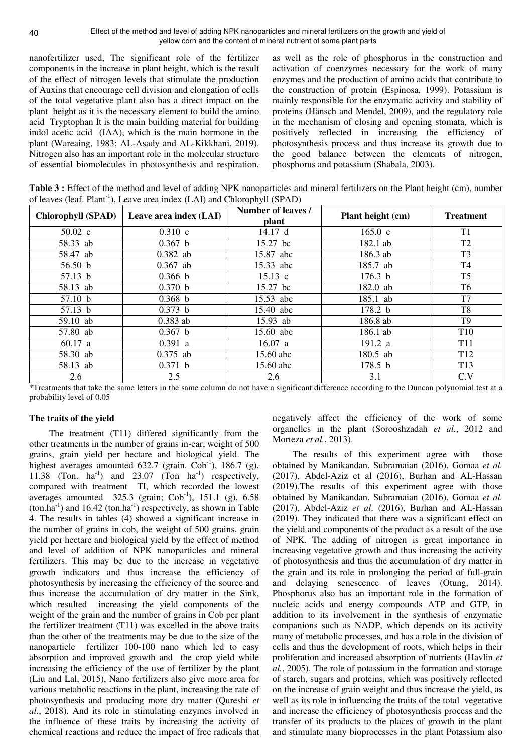nanofertilizer used, The significant role of the fertilizer components in the increase in plant height, which is the result of the effect of nitrogen levels that stimulate the production of Auxins that encourage cell division and elongation of cells of the total vegetative plant also has a direct impact on the plant height as it is the necessary element to build the amino acid Tryptophan It is the main building material for building indol acetic acid (IAA), which is the main hormone in the plant (Wareaing, 1983; AL-Asady and AL-Kikkhani, 2019). Nitrogen also has an important role in the molecular structure of essential biomolecules in photosynthesis and respiration,

as well as the role of phosphorus in the construction and activation of coenzymes necessary for the work of many enzymes and the production of amino acids that contribute to the construction of protein (Espinosa, 1999). Potassium is mainly responsible for the enzymatic activity and stability of proteins (Hänsch and Mendel, 2009), and the regulatory role in the mechanism of closing and opening stomata, which is positively reflected in increasing the efficiency of photosynthesis process and thus increase its growth due to the good balance between the elements of nitrogen, phosphorus and potassium (Shabala, 2003).

**Table 3 :** Effect of the method and level of adding NPK nanoparticles and mineral fertilizers on the Plant height (cm), number of leaves (leaf.  $Plant<sup>-1</sup>$ ), Leave area index (LAI) and Chlorophyll (SPAD)

| <b>Chlorophyll (SPAD)</b> | Leave area index (LAI) | Number of leaves /<br>plant | Plant height (cm)  | <b>Treatment</b> |
|---------------------------|------------------------|-----------------------------|--------------------|------------------|
| $50.02 \text{ c}$         | $0.310$ c              | 14.17 d                     | 165.0 c            | T <sub>1</sub>   |
| 58.33 ab                  | $0.367$ b              | 15.27 bc                    | 182.1 ab           | T <sub>2</sub>   |
| 58.47 ab                  | $0.382$ ab             | 15.87 abc                   | 186.3 ab           | T <sub>3</sub>   |
| 56.50 $b$                 | $0.367$ ab             | 15.33 abc                   | 185.7 ab           | T4               |
| 57.13 b                   | 0.366 b                | $15.13 \text{ c}$           | 176.3 <sub>b</sub> | T <sub>5</sub>   |
| 58.13 ab                  | 0.370 b                | 15.27 bc                    | 182.0 ab           | T6               |
| 57.10 b                   | 0.368 b                | 15.53 abc                   | 185.1 ab           | T7               |
| 57.13 b                   | 0.373 b                | 15.40 abc                   | 178.2 b            | T <sub>8</sub>   |
| 59.10 ab                  | $0.383$ ab             | 15.93 ab                    | 186.8 ab           | T <sub>9</sub>   |
| 57.80 ab                  | $0.367$ b              | 15.60 abc                   | 186.1 ab           | T <sub>10</sub>  |
| 60.17 a                   | 0.391 a                | 16.07 a                     | 191.2 a            | T <sub>11</sub>  |
| 58.30 ab                  | $0.375$ ab             | 15.60 abc                   | 180.5 ab           | T <sub>12</sub>  |
| 58.13 ab                  | 0.371 b                | 15.60 abc                   | 178.5 <sub>b</sub> | T <sub>13</sub>  |
| 2.6                       | 2.5                    | 2.6                         | 3.1                | C.V              |

\*Treatments that take the same letters in the same column do not have a significant difference according to the Duncan polynomial test at a probability level of 0.05

## **The traits of the yield**

The treatment (T11) differed significantly from the other treatments in the number of grains in-ear, weight of 500 grains, grain yield per hectare and biological yield. The highest averages amounted 632.7 (grain.  $Cob^{-1}$ ), 186.7 (g), 11.38 (Ton.  $ha^{-1}$ ) and 23.07 (Ton  $ha^{-1}$ ) respectively, compared with treatment TI, which recorded the lowest averages amounted  $325.3$  (grain; Cob<sup>-1</sup>), 151.1 (g), 6.58  $(ton.ha^{-1})$  and 16.42  $(ton.ha^{-1})$  respectively, as shown in Table 4. The results in tables (4) showed a significant increase in the number of grains in cob, the weight of 500 grains, grain yield per hectare and biological yield by the effect of method and level of addition of NPK nanoparticles and mineral fertilizers. This may be due to the increase in vegetative growth indicators and thus increase the efficiency of photosynthesis by increasing the efficiency of the source and thus increase the accumulation of dry matter in the Sink, which resulted increasing the yield components of the weight of the grain and the number of grains in Cob per plant the fertilizer treatment (T11) was excelled in the above traits than the other of the treatments may be due to the size of the nanoparticle fertilizer 100-100 nano which led to easy absorption and improved growth and the crop yield while increasing the efficiency of the use of fertilizer by the plant (Liu and Lal, 2015), Nano fertilizers also give more area for various metabolic reactions in the plant, increasing the rate of photosynthesis and producing more dry matter (Qureshi *et al.*, 2018). And its role in stimulating enzymes involved in the influence of these traits by increasing the activity of chemical reactions and reduce the impact of free radicals that negatively affect the efficiency of the work of some organelles in the plant (Sorooshzadah *et al.*, 2012 and Morteza *et al.*, 2013).

The results of this experiment agree with those obtained by Manikandan, Subramaian (2016), Gomaa *et al.* (2017), Abdel-Aziz et al (2016), Burhan and AL-Hassan (2019),The results of this experiment agree with those obtained by Manikandan, Subramaian (2016), Gomaa *et al.* (2017), Abdel-Aziz *et al*. (2016), Burhan and AL-Hassan (2019). They indicated that there was a significant effect on the yield and components of the product as a result of the use of NPK. The adding of nitrogen is great importance in increasing vegetative growth and thus increasing the activity of photosynthesis and thus the accumulation of dry matter in the grain and its role in prolonging the period of full-grain and delaying senescence of leaves (Otung, 2014). Phosphorus also has an important role in the formation of nucleic acids and energy compounds ATP and GTP, in addition to its involvement in the synthesis of enzymatic companions such as NADP, which depends on its activity many of metabolic processes, and has a role in the division of cells and thus the development of roots, which helps in their proliferation and increased absorption of nutrients (Havlin *et al.*, 2005). The role of potassium in the formation and storage of starch, sugars and proteins, which was positively reflected on the increase of grain weight and thus increase the yield, as well as its role in influencing the traits of the total vegetative and increase the efficiency of photosynthesis process and the transfer of its products to the places of growth in the plant and stimulate many bioprocesses in the plant Potassium also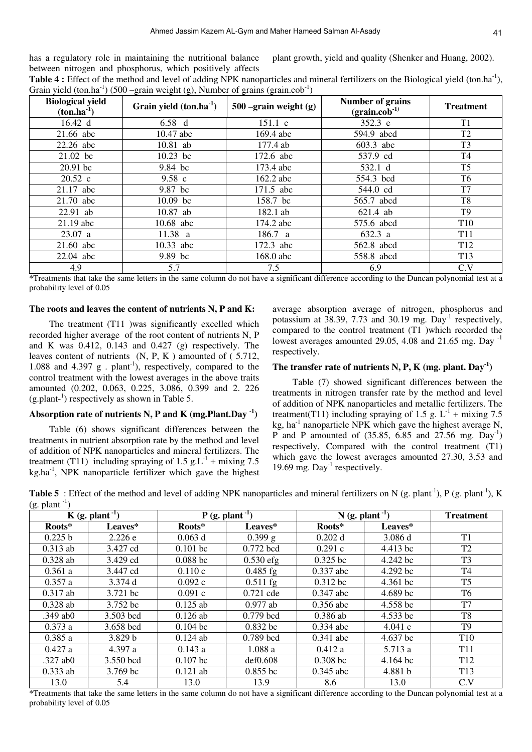has a regulatory role in maintaining the nutritional balance between nitrogen and phosphorus, which positively affects plant growth, yield and quality (Shenker and Huang, 2002).

| <b>Table 4 :</b> Effect of the method and level of adding NPK nanoparticles and mineral fertilizers on the Biological yield (ton.ha <sup>-1</sup> ), |  |
|------------------------------------------------------------------------------------------------------------------------------------------------------|--|
| Grain yield (ton.ha <sup>-1</sup> ) (500 –grain weight (g), Number of grains (grain.cob <sup>-1</sup> )                                              |  |

| <b>Biological yield</b><br>$(ton.ha^{-1})$ | Grain yield $(ton.ha^{-1})$ | $500$ –grain weight (g) | Number of grains<br>$(\text{grain.cob}^{-1})$ | <b>Treatment</b> |
|--------------------------------------------|-----------------------------|-------------------------|-----------------------------------------------|------------------|
| 16.42 d                                    | $6.58\ d$                   | 151.1 c                 | 352.3 e                                       | T <sub>1</sub>   |
| 21.66 abc                                  | 10.47 abc                   | 169.4 abc               | 594.9 abcd                                    | T <sub>2</sub>   |
| 22.26 abc                                  | 10.81 ab                    | 177.4 ab                | 603.3 abc                                     | T <sub>3</sub>   |
| $21.02$ bc                                 | $10.23$ bc                  | 172.6 abc               | 537.9 cd                                      | T <sub>4</sub>   |
| $20.91$ bc                                 | 9.84 bc                     | 173.4 abc               | 532.1 d                                       | T <sub>5</sub>   |
| 20.52 c                                    | $9.58\text{ c}$             | 162.2 abc               | 554.3 bcd                                     | T6               |
| $21.17$ abc                                | 9.87 bc                     | 171.5 abc               | 544.0 cd                                      | T7               |
| 21.70 abc                                  | $10.09$ bc                  | 158.7 bc                | 565.7 abcd                                    | T <sub>8</sub>   |
| $22.91$ ab                                 | 10.87 ab                    | 182.1 ab                | 621.4 ab                                      | T <sub>9</sub>   |
| $21.19$ abc                                | 10.68 abc                   | 174.2 abc               | 575.6 abcd                                    | T <sub>10</sub>  |
| 23.07 a                                    | 11.38 a                     | 186.7 a                 | 632.3 a                                       | <b>T11</b>       |
| 21.60 abc                                  | 10.33 abc                   | 172.3 abc               | 562.8 abcd                                    | T <sub>12</sub>  |
| 22.04 abc                                  | 9.89 bc                     | 168.0 abc               | 558.8 abcd                                    | T <sub>13</sub>  |
| 4.9                                        | 5.7                         | 7.5                     | 6.9                                           | C.V              |

\*Treatments that take the same letters in the same column do not have a significant difference according to the Duncan polynomial test at a probability level of 0.05

### **The roots and leaves the content of nutrients N, P and K:**

The treatment (T11 )was significantly excelled which recorded higher average of the root content of nutrients N, P and K was 0.412, 0.143 and 0.427 (g) respectively. The leaves content of nutrients (N, P, K ) amounted of ( 5.712, 1.088 and 4.397 g . plant<sup>-1</sup>), respectively, compared to the control treatment with the lowest averages in the above traits amounted (0.202, 0.063, 0.225, 3.086, 0.399 and 2. 226  $(g. plant<sup>-1</sup>)$  respectively as shown in Table 5.

## **Absorption rate of nutrients N, P and K (mg.Plant.Day -1)**

Table (6) shows significant differences between the treatments in nutrient absorption rate by the method and level of addition of NPK nanoparticles and mineral fertilizers. The treatment (T11) including spraying of 1.5 g.L<sup>-1</sup> + mixing 7.5  $kg<sub>1</sub>$ , NPK nanoparticle fertilizer which gave the highest

average absorption average of nitrogen, phosphorus and potassium at 38.39, 7.73 and 30.19 mg. Day<sup>-1</sup> respectively, compared to the control treatment (T1 )which recorded the lowest averages amounted 29.05, 4.08 and 21.65 mg. Day  $^{-1}$ respectively.

#### **The transfer rate of nutrients N, P, K (mg. plant. Day-1)**

Table (7) showed significant differences between the treatments in nitrogen transfer rate by the method and level of addition of NPK nanoparticles and metallic fertilizers. The treatment(T11) including spraying of 1.5 g.  $L^{-1}$  + mixing 7.5 kg, ha $^{-1}$  nanoparticle NPK which gave the highest average N, P and P amounted of  $(35.85, 6.85, 6.85, 27.56, \text{mg. Day}^{-1})$ respectively, Compared with the control treatment (T1) which gave the lowest averages amounted 27.30, 3.53 and 19.69 mg.  $Day<sup>-1</sup>$  respectively.

**Table 5** : Effect of the method and level of adding NPK nanoparticles and mineral fertilizers on N (g. plant<sup>-1</sup>), P (g. plant<sup>-1</sup>), K  $(g.$  plant  $^{-1}$ )

| $\sim$ 1   | $K$ (g. plant <sup>-1</sup> ) |            | $P$ (g. plant <sup>-1</sup> ) |             | $N$ (g. plant <sup>-1</sup> ) | <b>Treatment</b> |
|------------|-------------------------------|------------|-------------------------------|-------------|-------------------------------|------------------|
| Roots*     | Leaves*                       | Roots*     | Leaves*                       | Roots*      | Leaves*                       |                  |
| 0.225 b    | 2.226 e                       | $0.063$ d  | $0.399$ g                     | $0.202$ d   | 3.086 d                       | T <sub>1</sub>   |
| $0.313$ ab | 3.427 cd                      | $0.101$ bc | 0.772 bcd                     | 0.291c      | 4.413 bc                      | T <sub>2</sub>   |
| $0.328$ ab | 3.429 cd                      | $0.088$ bc | $0.530$ efg                   | $0.325$ bc  | 4.242 bc                      | T <sub>3</sub>   |
| 0.361a     | 3.447 cd                      | 0.110c     | $0.485$ fg                    | 0.337 abc   | 4.292 bc                      | T4               |
| 0.357a     | 3.374d                        | 0.092c     | $0.511$ fg                    | $0.312$ bc  | 4.361 bc                      | T <sub>5</sub>   |
| $0.317$ ab | 3.721 bc                      | 0.091c     | $0.721$ cde                   | $0.347$ abc | $4.689$ bc                    | T6               |
| $0.328$ ab | 3.752 bc                      | $0.125$ ab | $0.977$ ab                    | $0.356$ abc | 4.558 bc                      | T7               |
| $.349$ ab0 | 3.503 bcd                     | $0.126$ ab | $0.779$ bcd                   | $0.386$ ab  | 4.533 bc                      | T <sub>8</sub>   |
| 0.373a     | 3.658 bcd                     | $0.104$ bc | $0.832$ bc                    | $0.334$ abc | 4.041c                        | T9               |
| 0.385a     | 3.829 b                       | $0.124$ ab | $0.789$ bcd                   | $0.341$ abc | 4.637 bc                      | T <sub>10</sub>  |
| 0.427a     | 4.397 a                       | 0.143a     | 1.088a                        | 0.412a      | 5.713 a                       | <b>T11</b>       |
| $.327$ ab0 | 3.550 bcd                     | $0.107$ bc | def0.608                      | $0.308$ bc  | 4.164 bc                      | T <sub>12</sub>  |
| $0.333$ ab | $3.769$ bc                    | $0.121$ ab | $0.855$ bc                    | $0.345$ abc | 4.881 b                       | T <sub>13</sub>  |
| 13.0       | 5.4                           | 13.0       | 13.9                          | 8.6         | 13.0                          | C.V              |

\*Treatments that take the same letters in the same column do not have a significant difference according to the Duncan polynomial test at a probability level of 0.05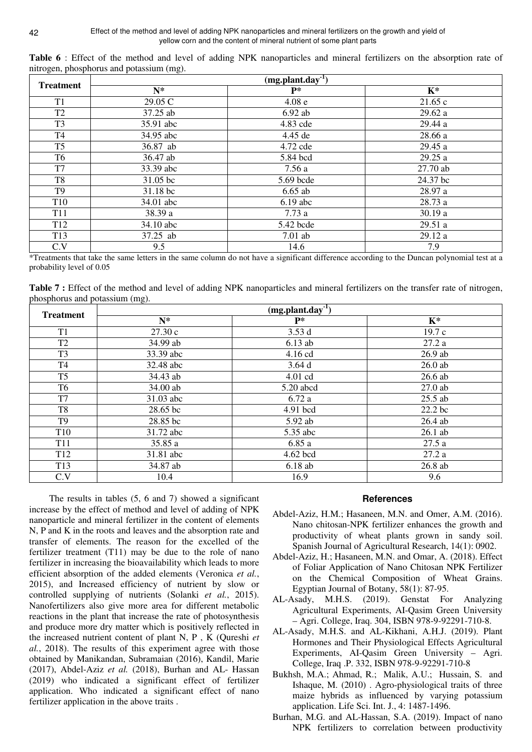| ັ<br>.<br><b>Treatment</b> | $\tilde{}$<br>$(mg.plant.day-1)$ |                   |          |  |
|----------------------------|----------------------------------|-------------------|----------|--|
|                            | $N^*$                            | $P*$              | $K^*$    |  |
| T1                         | 29.05 C                          | 4.08 <sub>e</sub> | 21.65c   |  |
| T <sub>2</sub>             | 37.25 ab                         | $6.92$ ab         | 29.62a   |  |
| T <sub>3</sub>             | 35.91 abc                        | 4.83 cde          | 29.44 a  |  |
| T <sub>4</sub>             | 34.95 abc                        | 4.45 de           | 28.66 a  |  |
| T <sub>5</sub>             | 36.87 ab                         | 4.72 cde          | 29.45 a  |  |
| T <sub>6</sub>             | 36.47 ab                         | 5.84 bcd          | 29.25a   |  |
| T7                         | 33.39 abc                        | 7.56 a            | 27.70 ab |  |
| T <sub>8</sub>             | 31.05 bc                         | 5.69 bcde         | 24.37 bc |  |
| T <sub>9</sub>             | 31.18 bc                         | $6.65$ ab         | 28.97 a  |  |
| T <sub>10</sub>            | 34.01 abc                        | $6.19$ abc        | 28.73 a  |  |
| T <sub>11</sub>            | 38.39 a                          | 7.73a             | 30.19a   |  |
| T <sub>12</sub>            | 34.10 abc                        | 5.42 bcde         | 29.51 a  |  |
| T <sub>13</sub>            | 37.25 ab                         | $7.01$ ab         | 29.12 a  |  |
| C.V                        | 9.5                              | 14.6              | 7.9      |  |

**Table 6** : Effect of the method and level of adding NPK nanoparticles and mineral fertilizers on the absorption rate of nitrogen, phosphorus and potassium (mg).

\*Treatments that take the same letters in the same column do not have a significant difference according to the Duncan polynomial test at a probability level of 0.05

**Table 7 :** Effect of the method and level of adding NPK nanoparticles and mineral fertilizers on the transfer rate of nitrogen, phosphorus and potassium (mg).

| <b>Treatment</b> | $(mg.plant.day^{-1})$ |           |                    |  |
|------------------|-----------------------|-----------|--------------------|--|
|                  | $N^*$                 | $P*$      | $K^*$              |  |
| T <sub>1</sub>   | 27.30c                | 3.53d     | 19.7c              |  |
| T <sub>2</sub>   | 34.99 ab              | $6.13$ ab | 27.2a              |  |
| T <sub>3</sub>   | 33.39 abc             | 4.16 cd   | $26.9$ ab          |  |
| T4               | 32.48 abc             | 3.64d     | $26.0$ ab          |  |
| T <sub>5</sub>   | 34.43 ab              | 4.01 cd   | $26.6$ ab          |  |
| T <sub>6</sub>   | 34.00 ab              | 5.20 abcd | $27.0$ ab          |  |
| T7               | 31.03 abc             | 6.72a     | $25.5$ ab          |  |
| T <sub>8</sub>   | 28.65 bc              | 4.91 bcd  | 22.2 <sub>bc</sub> |  |
| T <sub>9</sub>   | 28.85 bc              | 5.92 ab   | 26.4 ab            |  |
| T <sub>10</sub>  | 31.72 abc             | 5.35 abc  | $26.1$ ab          |  |
| T <sub>11</sub>  | 35.85 a               | 6.85a     | 27.5a              |  |
| T <sub>12</sub>  | 31.81 abc             | 4.62 bcd  | 27.2a              |  |
| T <sub>13</sub>  | 34.87 ab              | 6.18ab    | 26.8 ab            |  |
| C.V              | 10.4                  | 16.9      | 9.6                |  |

The results in tables (5, 6 and 7) showed a significant increase by the effect of method and level of adding of NPK nanoparticle and mineral fertilizer in the content of elements N, P and K in the roots and leaves and the absorption rate and transfer of elements. The reason for the excelled of the fertilizer treatment (T11) may be due to the role of nano fertilizer in increasing the bioavailability which leads to more efficient absorption of the added elements (Veronica *et al.*, 2015), and Increased efficiency of nutrient by slow or controlled supplying of nutrients (Solanki *et al.*, 2015). Nanofertilizers also give more area for different metabolic reactions in the plant that increase the rate of photosynthesis and produce more dry matter which is positively reflected in the increased nutrient content of plant N, P , K (Qureshi *et al.*, 2018). The results of this experiment agree with those obtained by Manikandan, Subramaian (2016), Kandil, Marie (2017), Abdel-Aziz *et al.* (2018), Burhan and AL- Hassan (2019) who indicated a significant effect of fertilizer application. Who indicated a significant effect of nano fertilizer application in the above traits .

## **References**

- Abdel-Aziz, H.M.; Hasaneen, M.N. and Omer, A.M. (2016). Nano chitosan-NPK fertilizer enhances the growth and productivity of wheat plants grown in sandy soil. Spanish Journal of Agricultural Research, 14(1): 0902.
- Abdel-Aziz, H.; Hasaneen, M.N. and Omar, A. (2018). Effect of Foliar Application of Nano Chitosan NPK Fertilizer on the Chemical Composition of Wheat Grains. Egyptian Journal of Botany, 58(1): 87-95.
- AL-Asady, M.H.S. (2019). Genstat For Analyzing Agricultural Experiments, AI-Qasim Green University – Agri. College, Iraq. 304, ISBN 978-9-92291-710-8.
- AL-Asady, M.H.S. and AL-Kikhani, A.H.J. (2019). Plant Hormones and Their Physiological Effects Agricultural Experiments, AI-Qasim Green University – Agri. College, Iraq .P. 332, ISBN 978-9-92291-710-8
- Bukhsh, M.A.; Ahmad, R.; Malik, A.U.; Hussain, S. and Ishaque, M. (2010) . Agro-physiological traits of three maize hybrids as influenced by varying potassium application. Life Sci. Int. J., 4: 1487-1496.
- Burhan, M.G. and AL-Hassan, S.A. (2019). Impact of nano NPK fertilizers to correlation between productivity